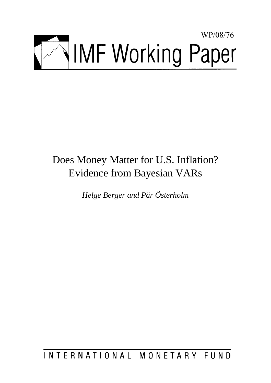

# Does Money Matter for U.S. Inflation? Evidence from Bayesian VARs

*Helge Berger and Pär Österholm* 

INTERNATIONAL MONETARY FUND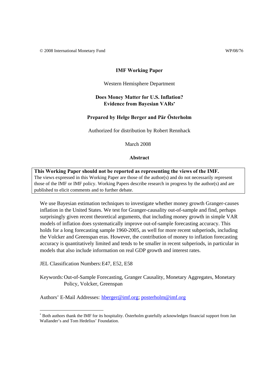© 2008 International Monetary Fund WP/08/76

#### **IMF Working Paper**

#### Western Hemisphere Department

# **Does Money Matter for U.S. Inflation? Evidence from Bayesian VARs**<sup>∗</sup>

# **Prepared by Helge Berger and Pär Österholm**

Authorized for distribution by Robert Rennhack

March 2008

### **Abstract**

**This Working Paper should not be reported as representing the views of the IMF.** The views expressed in this Working Paper are those of the author(s) and do not necessarily represent those of the IMF or IMF policy. Working Papers describe research in progress by the author(s) and are published to elicit comments and to further debate.

We use Bayesian estimation techniques to investigate whether money growth Granger-causes inflation in the United States. We test for Granger-causality out-of-sample and find, perhaps surprisingly given recent theoretical arguments, that including money growth in simple VAR models of inflation does systematically improve out-of-sample forecasting accuracy. This holds for a long forecasting sample 1960-2005, as well for more recent subperiods, including the Volcker and Greenspan eras. However, the contribution of money to inflation forecasting accuracy is quantitatively limited and tends to be smaller in recent subperiods, in particular in models that also include information on real GDP growth and interest rates.

JEL Classification Numbers: E47, E52, E58

-

Keywords: Out-of-Sample Forecasting, Granger Causality, Monetary Aggregates, Monetary Policy, Volcker, Greenspan

Authors' E-Mail Addresses: hberger@imf.org; posterholm@imf.org

<sup>∗</sup> Both authors thank the IMF for its hospitality. Österholm gratefully acknowledges financial support from Jan Wallander's and Tom Hedelius' Foundation.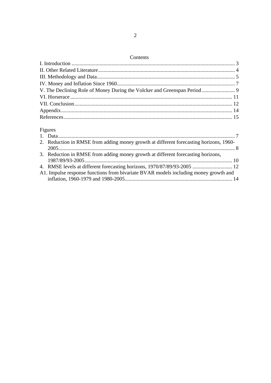# Contents

| V. The Declining Role of Money During the Volcker and Greenspan Period  9 |  |
|---------------------------------------------------------------------------|--|
|                                                                           |  |
|                                                                           |  |
|                                                                           |  |
|                                                                           |  |

# Figures

| 2. Reduction in RMSE from adding money growth at different forecasting horizons, 1960- |  |
|----------------------------------------------------------------------------------------|--|
|                                                                                        |  |
| 3. Reduction in RMSE from adding money growth at different forecasting horizons,       |  |
|                                                                                        |  |
|                                                                                        |  |
| A1. Impulse response functions from bivariate BVAR models including money growth and   |  |
|                                                                                        |  |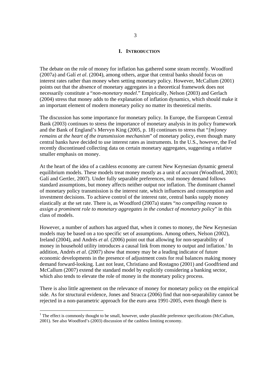#### **I. INTRODUCTION**

The debate on the role of money for inflation has gathered some steam recently. Woodford (2007a) and Galí *et al*. (2004), among others, argue that central banks should focus on interest rates rather than money when setting monetary policy. However, McCallum (2001) points out that the absence of monetary aggregates in a theoretical framework does not necessarily constitute a "*non-monetary model*." Empirically, Nelson (2003) and Gerlach (2004) stress that money adds to the explanation of inflation dynamics, which should make it an important element of modern monetary policy no matter its theoretical merits.

The discussion has some importance for monetary policy. In Europe, the European Central Bank (2003) continues to stress the importance of monetary analysis in its policy framework and the Bank of England's Mervyn King (2005, p. 18) continues to stress that "*[m]oney remains at the heart of the transmission mechanism*" of monetary policy, even though many central banks have decided to use interest rates as instruments. In the U.S., however, the Fed recently discontinued collecting data on certain monetary aggregates, suggesting a relative smaller emphasis on money.

At the heart of the idea of a cashless economy are current New Keynesian dynamic general equilibrium models. These models treat money mostly as a unit of account (Woodford, 2003; Galí and Gertler, 2007). Under fully separable preferences, real money demand follows standard assumptions, but money affects neither output nor inflation. The dominant channel of monetary policy transmission is the interest rate, which influences and consumption and investment decisions. To achieve control of the interest rate, central banks supply money elastically at the set rate. There is, as Woodford (2007a) states "*no compelling reason to assign a prominent role to monetary aggregates in the conduct of monetary policy*" in this class of models.

However, a number of authors has argued that, when it comes to money, the New Keynesian models may be based on a too specific set of assumptions. Among others, Nelson (2002), Ireland (2004), and Andrés *et al*. (2006) point out that allowing for non-separability of money in household utility introduces a causal link from money to output and inflation.<sup>1</sup> In addition, Andrés *et al*. (2007) show that money may be a leading indicator of future economic developments in the presence of adjustment costs for real balances making money demand forward-looking. Last not least, Christiano and Rostagno (2001) and Goodfriend and McCallum (2007) extend the standard model by explicitly considering a banking sector, which also tends to elevate the role of money in the monetary policy process.

There is also little agreement on the relevance of money for monetary policy on the empirical side. As for structural evidence, Jones and Stracca (2006) find that non-separability cannot be rejected in a non-parametric approach for the euro area 1991-2005, even though there is

-

 $<sup>1</sup>$  The effect is commonly thought to be small, however, under plausible preference specifications (McCallum,</sup> 2001). See also Woodford's (2003) discussion of the cashless limiting economy.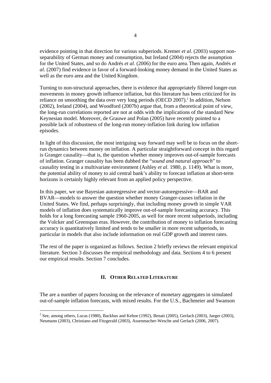evidence pointing in that direction for various subperiods. Kremer *et al*. (2003) support nonseparability of German money and consumption, but Ireland (2004) rejects the assumption for the United States, and so do Andrés *et al*. (2006) for the euro area.Then again, Andrés *et al*. (2007) find evidence in favor of a forward-looking money demand in the United States as well as the euro area and the United Kingdom.

Turning to non-structural approaches, there is evidence that appropriately filtered longer-run movements in money growth influence inflation, but this literature has been criticized for its reliance on smoothing the data over very long periods (OECD 2007).<sup>2</sup> In addition, Nelson (2002), Ireland (2004), and Woodford (2007b) argue that, from a theoretical point of view, the long-run correlations reported are not at odds with the implications of the standard New Keynesian model. Moreover, de Grauwe and Polan (2005) have recently pointed to a possible lack of robustness of the long-run money-inflation link during low inflation episodes.

In light of this discussion, the most intriguing way forward may well be to focus on the shortrun dynamics between money on inflation. A particular straightforward concept in this regard is Granger causality—that is, the question whether money improves out-of-sample forecasts of inflation. Granger causality has been dubbed the "*sound and natural approach*" to causality testing in a multivariate environment (Ashley *et al*. 1980, p. 1149). What is more, the potential ability of money to aid central bank's ability to forecast inflation at short-term horizons is certainly highly relevant from an applied policy perspective.

In this paper, we use Bayesian autoregressive and vector-autoregressive—BAR and BVAR—models to answer the question whether money Granger-causes inflation in the United States. We find, perhaps surprisingly, that including money growth in simple VAR models of inflation does systematically improve out-of-sample forecasting accuracy. This holds for a long forecasting sample 1960-2005, as well for more recent subperiods, including the Volcker and Greenspan eras. However, the contribution of money to inflation forecasting accuracy is quantitatively limited and tends to be smaller in more recent subperiods, in particular in models that also include information on real GDP growth and interest rates.

The rest of the paper is organized as follows. Section 2 briefly reviews the relevant empirical literature. Section 3 discusses the empirical methodology and data. Sections 4 to 6 present our empirical results. Section 7 concludes.

# **II. OTHER RELATED LITERATURE**

The are a number of papers focusing on the relevance of monetary aggregates in simulated out-of-sample inflation forecasts, with mixed results. For the U.S., Bachmeier and Swanson

<sup>-&</sup>lt;br><sup>2</sup> See, among others, Lucas (1980), Backhus and Kehoe (1992), Benati (2005), Gerlach (2003), Jaeger (2003), Neumann (2003), Christiano and Fitzgerald (2003), Assenmacher-Wesche and Gerlach (2006, 2007).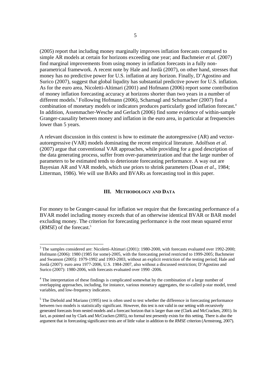(2005) report that including money marginally improves inflation forecasts compared to simple AR models at certain for horizons exceeding one year; and Bachmeier *et al.* (2007) find marginal improvements from using money in inflation forecasts in a fully nonparametrical framework. A recent note by Hale and Jordà (2007), on other hand, stresses that money has no predictive power for U.S. inflation at any horizon. Finally, D'Agostino and Surico (2007), suggest that global liqudity has substantial predictive power for U.S. inflation. As for the euro area, Nicoletti-Altimari (2001) and Hofmann (2006) report some contribution of money inflation forecasting accuracy at horizons shorter than two years in a number of different models.3 Following Hofmann (2006), Scharnagl and Schumacher (2007) find a combination of monetary models or indicators produces particularly good inflation forecast.<sup>4</sup> In addition, Assenmacher-Wesche and Gerlach (2006) find some evidence of within-sample Granger-causality between money and inflation in the euro area, in particular at frequencies lower than 5 years.

A relevant discussion in this context is how to estimate the autoregressive (AR) and vectorautoregressive (VAR) models dominating the recent empirical literature. Adolfson *et al*. (2007) argue that conventional VAR approaches, while providing for a good description of the data generating process, suffer from over-parameterization and that the large number of parameters to be estimated tends to deteriorate forecasting performance. A way out are Bayesian AR and VAR models, which use priors to shrink parameters (Doan *et al*., 1984; Litterman, 1986). We will use BARs and BVARs as forecasting tool in this paper.

# **III. METHODOLOGY AND DATA**

For money to be Granger-causal for inflation we require that the forecasting performance of a BVAR model including money exceeds that of an otherwise identical BVAR or BAR model excluding money. The criterion for forecasting performance is the root mean squared error (*RMSE*) of the forecast.5

1

<sup>&</sup>lt;sup>3</sup> The samples considered are: Nicoletti-Altimari (2001): 1980-2000, with forecasts evaluated over 1992-2000; Hofmann (2006): 1980 (1985 for some)-2005, with the forecasting period restricted to 1999-2005; Bachmeier and Swanson (2005): 1979-1992 and 1993-2003, without an explicit restriction of the testing period; Hale and Jordà (2007): euro area 1977-2006, U.S. 1984-2007, also without a discussed restriction; D'Agostino and Surico (2007): 1980-2006, with forecasts evaluated over 1990 -2006.

<sup>&</sup>lt;sup>4</sup> The interpretation of these findings is complicated somewhat by the combination of a large number of overlapping approaches, including, for instance, various monetary aggregates, the so-called p-star model, trend variables, and low-frequency indicators.

 $<sup>5</sup>$  The Diebold and Mariano (1995) test is often used to test whether the difference in forecasting performance</sup> between two models is statistically significant. However, this test is not valid in our setting with recursively generated forecasts from nested models and a forecast horizon that is larger than one (Clark and McCracken, 2001). In fact, as pointed out by Clark and McCracken (2005), no formal test presently exists for this setting. There is also the argument that in forecasting significance tests are of little value in addition to the *RMSE* criterion (Armstrong, 2007).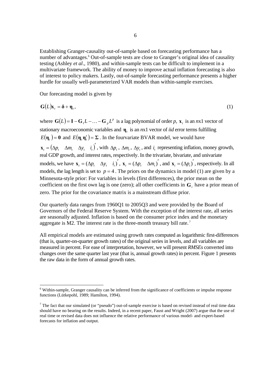Establishing Granger-causality out-of-sample based on forecasting performance has a number of advantages.<sup>6</sup> Out-of-sample tests are close to Granger's original idea of causality testing (Ashley *et al*., 1980), and within-sample tests can be difficult to implement in a multivariate framework. The ability of money to improve actual inflation forecasting is also of interest to policy makers. Lastly, out-of-sample forecasting performance presents a higher hurdle for usually well-parameterized VAR models than within-sample exercises.

Our forecasting model is given by

-

$$
G(L)x_t = \delta + \eta_t, \qquad (1)
$$

where  $G(L) = I - G_1 L - \ldots - G_n L^p$  is a lag polynomial of order p,  $x_t$  is an nx1 vector of stationary macroeconomic variables and **η***t* is an *n*x1 vector of *iid* error terms fulfilling  $E(\eta_t) = 0$  and  $E(\eta_t, \eta'_t) = \Sigma$ . In the fourvariate BVAR model, we would have  $\mathbf{x}_{i} = (\Delta p_{i} - \Delta m_{i} - \Delta y_{i} - i_{i})'$ , with  $\Delta p_{i}$ ,  $\Delta m_{i}$ ,  $\Delta y_{i}$ , and  $i_{i}$  representing inflation, money growth, real GDP growth, and interest rates, respectively. In the trivariate, bivariate, and univariate models, we have  $\mathbf{x}_t = (\Delta p_t \ \Delta y_t \ i_t)'$ ,  $\mathbf{x}_t = (\Delta p_t \ \Delta m_t)'$ , and  $\mathbf{x}_t = (\Delta p_t)'$ , respectively. In all models, the lag length is set to  $p = 4$ . The priors on the dynamics in model (1) are given by a Minnesota-style prior: For variables in levels (first differences), the prior mean on the coefficient on the first own lag is one (zero); all other coefficients in **G***i* have a prior mean of zero. The prior for the covariance matrix is a mainstream diffuse prior.

Our quarterly data ranges from 1960Q1 to 2005Q3 and were provided by the Board of Governors of the Federal Reserve System. With the exception of the interest rate, all series are seasonally adjusted. Inflation is based on the consumer price index and the monetary aggregate is M2. The interest rate is the three-month treasury bill rate.<sup>7</sup>

All empirical models are estimated using growth rates computed as logarithmic first-differences (that is, quarter-on-quarter growth rates) of the original series in levels, and all variables are measured in percent. For ease of interpretation, however, we will present *RMSEs* converted into changes over the same quarter last year (that is, annual growth rates) in percent. Figure 1 presents the raw data in the form of annual growth rates.

<sup>&</sup>lt;sup>6</sup> Within-sample, Granger causality can be inferred from the significance of coefficients or impulse response functions (Lütkepohl, 1989; Hamilton, 1994).

<sup>&</sup>lt;sup>7</sup> The fact that our simulated (or "pseudo") out-of-sample exercise is based on revised instead of real time data should have no bearing on the results. Indeed, in a recent paper, Faust and Wright (2007) argue that the use of real time or revised data does not influence the relative performance of various model- and expert-based forecasts for inflation and output.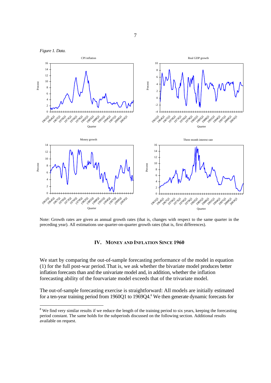

Note: Growth rates are given as annual growth rates (that is, changes with respect to the same quarter in the preceding year). All estimations use quarter-on-quarter growth rates (that is, first differences).

# **IV. MONEY AND INFLATION SINCE 1960**

We start by comparing the out-of-sample forecasting performance of the model in equation (1) for the full post-war period.That is, we ask whether the bivariate model produces better inflation forecasts than and the univariate model and, in addition, whether the inflation forecasting ability of the fourvariate model exceeds that of the trivariate model.

The out-of-sample forecasting exercise is straightforward: All models are initially estimated for a ten-year training period from 1960Q1 to 1969Q4.<sup>8</sup> We then generate dynamic forecasts for

7

<sup>&</sup>lt;sup>8</sup> We find very similar results if we reduce the length of the training period to six years, keeping the forecasting period constant. The same holds for the subperiods discussed on the following section. Additional results available on request.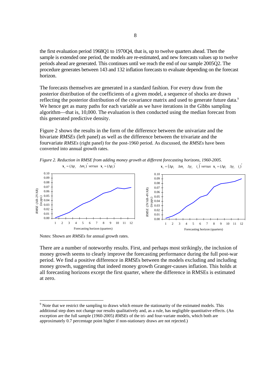the first evaluation period 1968Q1 to 1970Q4, that is, up to twelve quarters ahead. Then the sample is extended one period, the models are re-estimated, and new forecasts values up to twelve periods ahead are generated. This continues until we reach the end of our sample 2005Q2. The procedure generates between 143 and 132 inflation forecasts to evaluate depending on the forecast horizon.

The forecasts themselves are generated in a standard fashion. For every draw from the posterior distribution of the coefficients of a given model, a sequence of shocks are drawn reflecting the posterior distribution of the covariance matrix and used to generate future data.<sup>9</sup> We hence get as many paths for each variable as we have iterations in the Gibbs sampling algorithm—that is, 10,000. The evaluation is then conducted using the median forecast from this generated predictive density.

Figure 2 shows the results in the form of the difference between the univariate and the bivariate *RMSEs* (left panel) as well as the difference between the trivariate and the fourvariate *RMSEs* (right panel) for the post-1960 period. As discussed, the *RMSEs* have been converted into annual growth rates.

*Figure 2. Reduction in RMSE from adding money growth at different forecasting horizons, 1960-2005.*   $\mathbf{x}_t = (\Delta p_t \quad \Delta m_t)'$  versus  $\mathbf{x}_t = (\Delta p_t)'$  $\mathbf{x}_i = (\Delta p_i \quad \Delta m_i \quad \Delta y_i \quad i_i)$  versus  $\mathbf{x}_i = (\Delta p_i \quad \Delta y_i \quad i_i)$ 



Notes: Shown are *RMSEs* for annual growth rates.

-

There are a number of noteworthy results. First, and perhaps most strikingly, the inclusion of money growth seems to clearly improve the forecasting performance during the full post-war period. We find a positive difference in *RMSE*s between the models excluding and including money growth, suggesting that indeed money growth Granger-causes inflation. This holds at all forecasting horizons except the first quarter, where the difference in RMSEs is estimated at zero.

 $9<sup>9</sup>$  Note that we restrict the sampling to draws which ensure the stationarity of the estimated models. This additional step does not change our results qualitatively and, as a rule, has negligible quantitative effects. (An exception are the full sample (1960-2005) *RMSEs* of the tri- and four-variate models, which both are approximately 0.7 percentage point higher if non-stationary draws are not rejected.)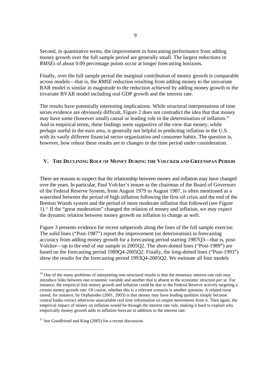Second, in quantitative terms, the improvement in forecasting performance from adding money growth over the full sample period are generally small. The largest reductions in *RMSEs* of about 0.09 percentage points occur at longer forecasting horizons.

Finally, over the full sample period the marginal contribution of money growth is comparable across models—that is, the *RMSE* reduction resulting from adding money to the univariate BAR model is similar in magnitude to the reduction achieved by adding money growth to the trivariate BVAR model including real GDP growth and the interest rate.

The results have potentially interesting implications. While structural interpretations of time series evidence are obviously difficult, Figure 2 does not contradict the idea that that money may have some (however small) causal or leading role in the determination of inflation.<sup>10</sup> And in empirical terms, these findings seem supportive of the view that money, while perhaps useful in the euro area, is generally not helpful in predicting inflation in the U.S. with its vastly different financial sector organization and consumer habits. The question is, however, how robust these results are to changes in the time period under consideration.

# **V. THE DECLINING ROLE OF MONEY DURING THE VOLCKER AND GREENSPAN PERIOD**

There are reasons to suspect that the relationship between money and inflation may have changed over the years. In particular, Paul Volcker's tenure as the chairman of the Board of Governors of the Federal Reserve System, from August 1979 to August 1987, is often mentioned as a watershed between the period of high inflation following the first oil crisis and the end of the Bretton Woods system and the period of more moderate inflation that followed (see Figure 1).11 If the "great moderation" changed the relation of money and inflation, we may expect the dynamic relation between money growth on inflation to change as well.

Figure 3 presents evidence for recent subperiods along the lines of the full sample exercise. The solid lines ("Post-1987") report the improvement (or deterioration) in forecasting accuracy from adding money growth for a forecasting period starting 1987Q3—that is, post-Volcker—up to the end of our sample in 2005Q2. The short-dotted lines ("Post-1989") are based on the forecasting period 1989Q4-2005Q2. Finally, the long-dotted lines ("Post-1993") show the results for the forecasting period 1993Q4-2005Q2. We estimate all four models

-

<sup>&</sup>lt;sup>10</sup> One of the many problems of interpreting non-structural results is that the monetary interest rate rule may introduce links between one economic variable and another that is absent in the economic structure *per se*. For instance, the empirical link money growth and inflation could be due to the Federal Reserve actively targeting a certain money growth rate. Of course, whether this is a relevant scenario is another question. A related issue raised, for instance, by Orphanides (2001, 2003) is that money may have leading qualities simply because central banks extract otherwise unavailable real time information on output movements from it. Then again, the empirical impact of money on inflation would be through the interest rate rule, making it hard to explain why empirically money growth adds to inflation forecast in addition to the interest rate.

 $11$  See Goodfriend and King (2005) for a recent discussion.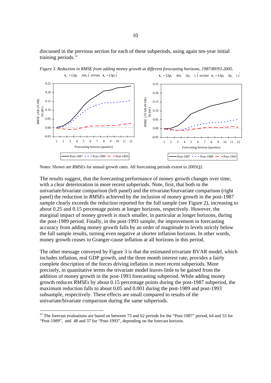discussed in the previous section for each of these subperiods, using again ten-year initial training periods. $12$ 



*Figure 3. Reduction in RMSE from adding money growth at different forecasting horizons, 1987/89/93-2005.*   $\mathbf{x}_t = (\Delta p_t \quad \Delta m_t)'$  versus  $\mathbf{x}_t = (\Delta p_t)'$  $\mathbf{x}_i = (\Delta p_i \quad \Delta m_i \quad \Delta y_i \quad i_i)$  versus  $\mathbf{x}_i = (\Delta p_i \quad \Delta y_i \quad i_i)$ 

Notes: Shown are *RMSEs* for annual growth rates. All forecasting periods extent to 2005Q2.

The results suggest, that the forecasting performance of money growth changes over time, with a clear deterioration in more recent subperiods. Note, first, that both in the univariate/bivariate comparison (left panel) and the trivariate/fourvariate comparison (right panel) the reduction in *RMSEs* achieved by the inclusion of money growth in the post-1987 sample clearly exceeds the reduction reported for the full sample (see Figure 2), increasing to about 0.25 and 0.15 percentage points at longer horizons, respectively. However, the marginal impact of money growth is much smaller, in particular at longer horizons, during the post-1989 period. Finally, in the post-1993 sample, the improvement in forecasting accuracy from adding money growth falls by an order of magnitude to levels strictly below the full sample results, turning even negative at shorter inflation horizons. In other words, money growth ceases to Granger-cause inflation at all horizons in this period.

The other message conveyed by Figure 3 is that the estimated trivariate BVAR model, which includes inflation, real GDP growth, and the three month interest rate, provides a fairly complete description of the forces driving inflation in more recent subperiods. More precisely, in quantitative terms the trivariate model leaves little to be gained from the addition of money growth in the post-1993 forecasting subperiod. While adding money growth reduces *RMSEs* by about 0.15 percentage points during the post-1987 subperiod, the maximum reduction falls to about 0.05 and 0.001 during the post-1989 and post-1993 subsample, respectively. These effects are small compared to results of the univariate/bivariate comparison during the same subperiods.

-

 $12$  The forecast evaluations are based on between 73 and 62 periods for the "Post-1987" period, 64 and 53 for "Post-1989", and 48 and 37 for "Post-1993", depending on the forecast horizon.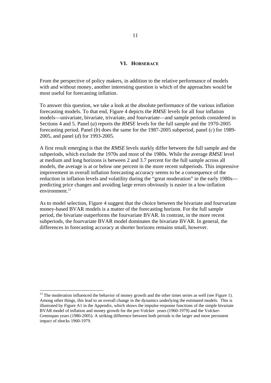# **VI. HORSERACE**

From the perspective of policy makers, in addition to the relative performance of models with and without money, another interesting question is which of the approaches would be most useful for forecasting inflation.

To answer this question, we take a look at the absolute performance of the various inflation forecasting models. To that end, Figure 4 depicts the *RMSE* levels for all four inflation models—univariate, bivariate, trivariate, and fourvariate—and sample periods considered in Sections 4 and 5. Panel (*a*) reports the *RMSE* levels for the full sample and the 1970-2005 forecasting period. Panel (*b*) does the same for the 1987-2005 subperiod, panel (*c*) for 1989- 2005, and panel (*d*) for 1993-2005.

A first result emerging is that the *RMSE* levels starkly differ between the full sample and the subperiods, which exclude the 1970s and most of the 1980s. While the average *RMSE* level at medium and long horizons is between 2 and 3.7 percent for the full sample across all models, the average is at or below one percent in the more recent subperiods. This impressive improvement in overall inflation forecasting accuracy seems to be a consequence of the reduction in inflation levels and volatility during the "great moderation" in the early 1980s predicting price changes and avoiding large errors obviously is easier in a low-inflation environment.<sup>13</sup>

As to model selection, Figure 4 suggest that the choice between the bivariate and fourvariate money-based BVAR models is a matter of the forecasting horizon. For the full sample period, the bivariate outperforms the fourvariate BVAR. In contrast, in the more recent subperiods, the fourvariate BVAR model dominates the bivariate BVAR. In general, the differences in forecasting accuracy at shorter horizons remains small, however.

1

<sup>&</sup>lt;sup>13</sup> The moderation influenced the behavior of money growth and the other times series as well (see Figure 1). Among other things, this lead to an overall change in the dynamics underlying the estimated models. This is illustrated by Figure A1 in the Appendix, which shows the impulse response functions of the simple bivariate BVAR model of inflation and money growth for the pre-Volcker years (1960-1979) and the Volcker-Greenspan years (1980-2005). A striking difference between both periods is the larger and more persistent impact of shocks 1960-1979.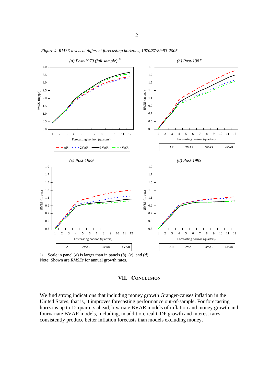

*Figure 4. RMSE levels at different forecasting horizons, 1970/87/89/93-2005* 

We find strong indications that including money growth Granger-causes inflation in the United States, that is, it improves forecasting performance out-of-sample. For forecasting horizons up to 12 quarters ahead, bivariate BVAR models of inflation and money growth and fourvariate BVAR models, including, in addition, real GDP growth and interest rates, consistently produce better inflation forecasts than models excluding money.

**VII. CONCLUSION**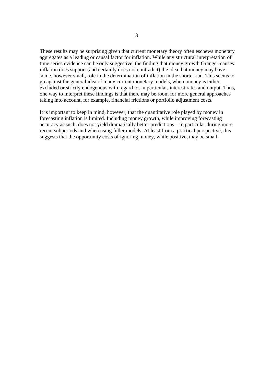These results may be surprising given that current monetary theory often eschews monetary aggregates as a leading or causal factor for inflation. While any structural interpretation of time series evidence can be only suggestive, the finding that money growth Granger-causes inflation does support (and certainly does not contradict) the idea that money may have some, however small, role in the determination of inflation in the shorter run. This seems to go against the general idea of many current monetary models, where money is either excluded or strictly endogenous with regard to, in particular, interest rates and output. Thus, one way to interpret these findings is that there may be room for more general approaches taking into account, for example, financial frictions or portfolio adjustment costs.

It is important to keep in mind, however, that the quantitative role played by money in forecasting inflation is limited. Including money growth, while improving forecasting accuracy as such, does not yield dramatically better predictions—in particular during more recent subperiods and when using fuller models. At least from a practical perspective, this suggests that the opportunity costs of ignoring money, while positive, may be small.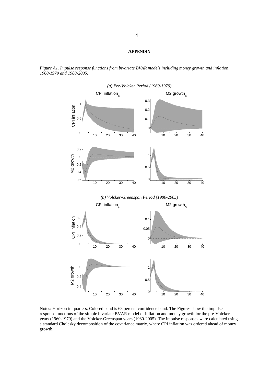#### **APPENDIX**

*Figure A1. Impulse response functions from bivariate BVAR models including money growth and inflation, 1960-1979 and 1980-2005.* 



Notes: Horizon in quarters. Colored band is 68 percent confidence band. The Figures show the impulse response functions of the simple bivariate BVAR model of inflation and money growth for the pre-Volcker years (1960-1979) and the Volcker-Greenspan years (1980-2005). The impulse responses were calculated using a standard Cholesky decomposition of the covariance matrix, where CPI inflation was ordered ahead of money growth.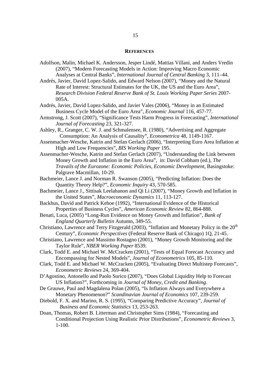#### **REFERENCES**

Adolfson, Malin, Michael K. Andersson, Jesper Lindé, Mattias Villani, and Anders Vredin (2007), "Modern Forecasting Models in Action: Improving Macro Economic Analyses at Central Banks", *International Journal of Central Banking* 3, 111–44.

Andrés, Javier, David Lopez-Salido, and Edward Nelson (2007), "Money and the Natural Rate of Interest: Structural Estimates for the UK, the US and the Euro Area", *Research Division Federal Reserve Bank of St. Louis Working Paper Series* 2007- 005A.

Andrés, Javier, David Lopez-Salido, and Javier Vales (2006), "Money in an Estimated Business Cycle Model of the Euro Area", *Economic Journal* 116, 457-77.

- Armstrong, J. Scott (2007), "Significance Tests Harm Progress in Forecasting", *International Journal of Forecasting* 23, 321-327.
- Ashley, R., Granger, C. W. J. and Schmalensee, R. (1980), "Advertising and Aggregate Consumption: An Analysis of Causality", *Econometrica* 48, 1149-1167.
- Assenmacher-Wesche, Katrin and Stefan Gerlach (2006), "Interpreting Euro Area Inflation at High and Low Frequencies", *BIS Working Paper* 195.
- Assenmacher-Wesche, Katrin and Stefan Gerlach (2007), "Understanding the Link between Money Growth and Inflation in the Euro Area", in: David Cobham (ed.), *The Travails of the Eurozone: Economic Policies, Economic Development*, Basingstoke: Palgrave Macmillan, 10-29.
- Bachmeier, Lance J. and Norman R. Swanson (2005), "Predicting Inflation: Does the Quantity Theory Help?", *Economic Inquiry* 43, 570-585.
- Bachmeier, Lance J., Sittisak Leelahanon and Qi Li (2007), "Money Growth and Inflation in the United States", *Macroeconomic Dynamics* 11, 113-127.
- Backhus, David and Patrick Kehoe (1992), "International Evidence of the Historical Properties of Business Cycles", *American Economic Review* 82, 864-888.
- Benati, Luca, (2005) "Long-Run Evidence on Money Growth and Inflation", *Bank of England Quarterly Bulletin* Autumn, 349-55.
- Christiano, Lawrence and Terry Fitzgerald (2003), "Inflation and Monetary Policy in the  $20<sup>th</sup>$ Century", *Economic Perspectives* (Federal Reserve Bank of Chicago) 1Q, 21-45.
- Christiano, Lawrence and Massimo Rostagno (2001), "Money Growth Monitoring and the Taylor Rule", *NBER Working Paper* 8539.
- Clark, Todd E. and Michael W. McCracken (2001), "Tests of Equal Forecast Accuracy and Encompassing for Nested Models", *Journal of Econometrics* 105, 85-110.
- Clark, Todd E. and Michael W. McCracken (2005), "Evaluating Direct Multistep Forecasts", *Econometric Reviews* 24, 369-404.
- D'Agostino, Antonello and Paolo Surico (2007), "Does Global Liquidity Help to Forecast US Inflation?", Forthcoming in *Journal of Money, Credit and Banking*.
- De Grauwe, Paul and Magdalena Polan (2005), "Is Inflation Always and Everywhere a Monetary Phenomenon?" *Scandinavian Journal of Economics* 107, 239-259.
- Diebold, F. X. and Marino, R. S. (1995), "Comparing Predictive Accuracy", *Journal of Business and Economic Statistics* 13, 253-263.
- Doan, Thomas, Robert B. Litterman and Christopher Sims (1984), "Forecasting and Conditional Projection Using Realistic Prior Distributions", *Econometric Reviews* 3, 1-100.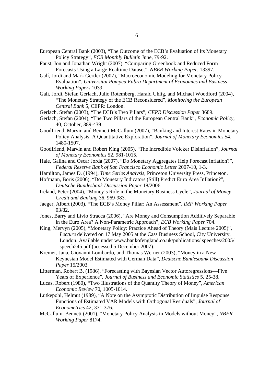- European Central Bank (2003), "The Outcome of the ECB's Evaluation of Its Monetary Policy Strategy", *ECB Monthly Bulletin* June, 79-92.
- Faust, Jon and Jonathan Wright (2007), "Comparing Greenbook and Reduced Form Forecasts Using a Large Realtime Dataset", *NBER Working Paper*, 13397.
- Galí, Jordi and Mark Gertler (2007), "Macroeconomic Modeling for Monetary Policy Evaluation", *Universitat Pompeu Fabra Department of Economics and Business Working Papers* 1039.
- Galí, Jordi, Stefan Gerlach, Julio Rotemberg, Harald Uhlig, and Michael Woodford (2004), "The Monetary Strategy of the ECB Reconsidered", *Monitoring the European Central Bank* 5, CEPR: London.
- Gerlach, Stefan (2003), "The ECB's Two Pillars", *CEPR Discussion Paper* 3689.
- Gerlach, Stefan (2004), "The Two Pillars of the European Central Bank", *Economic Policy*, 40, October, 389-439.
- Goodfriend, Marvin and Bennett McCallum (2007), "Banking and Interest Rates in Monetary Policy Analysis: A Quantitative Exploration", *Journal of Monetary Economics* 54, 1480-1507.
- Goodfriend, Marvin and Robert King (2005), "The Incredible Volcker Disinflation", *Journal of Monetary Economics* 52, 981-1015.
- Hale, Galina and Oscar Jordà (2007), "Do Monetary Aggregates Help Forecast Inflation?", *Federal Reserve Bank of San Francisco Economic Letter* 2007-10, 1-3.
- Hamilton, James D. (1994), *Time Series Analysis*, Princeton University Press, Princeton.
- Hofmann, Boris (2006), "Do Monetary Indicators (Still) Predict Euro Area Inflation?", *Deutsche Bundesbank Discussion Paper* 18/2006.
- Ireland, Peter (2004), "Money's Role in the Monetary Business Cycle", *Journal of Money Credit and Banking* 36, 969-983.
- Jaeger, Albert (2003), "The ECB's Money Pillar: An Assessment", *IMF Working Paper* 03/82.
- Jones, Barry and Livio Stracca (2006), "Are Money and Consumption Additively Separable in the Euro Area? A Non-Parametric Approach", *ECB Working Paper* 704.
- King, Mervyn (2005), "Monetary Policy: Practice Ahead of Theory (Mais Lecture 2005)", *Lecture* delivered on 17 May 2005 at the Cass Business School, City University, London. Available under www.bankofengland.co.uk/publications/ speeches/2005/ speech245.pdf (accessed 5 December 2007).
- Kremer, Jana, Giovanni Lombardo, and Thomas Werner (2003), "Money in a New-Keynesian Model Estimated with German Data", *Deutsche Bundesbank Discussion Paper* 15/2003.
- Litterman, Robert B. (1986), "Forecasting with Bayesian Vector Autoregressions—Five Years of Experience", *Journal of Business and Economic Statistics* 5, 25-38.
- Lucas, Robert (1980), "Two Illustrations of the Quantity Theory of Money", *American Economic Review* 70, 1005-1014.
- Lütkepohl, Helmut (1989), "A Note on the Asymptotic Distribution of Impulse Response Functions of Estimated VAR Models with Orthogonal Residuals", *Journal of Econometrics* 42, 371-376.
- McCallum, Bennett (2001), "Monetary Policy Analysis in Models without Money", *NBER Working Paper* 8174.